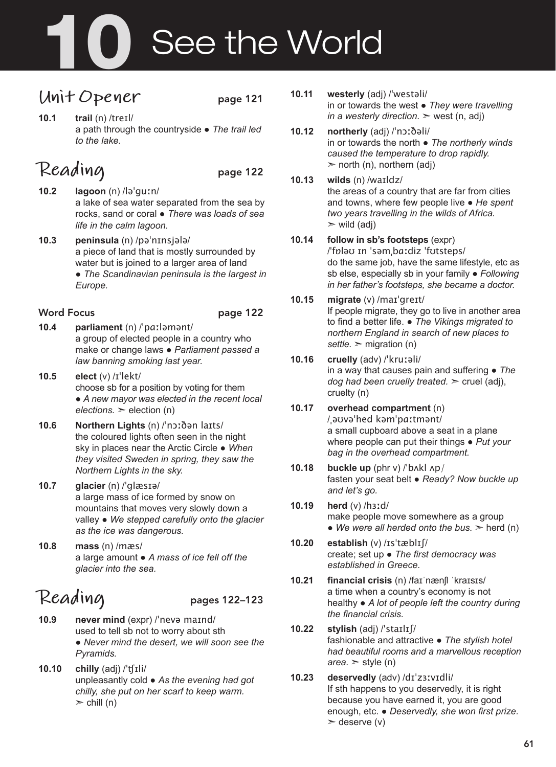# 10 See the World

## **Unit Opener** page 121

**10.1 trail** (n) /treɪl/ a path through the countryside ● *The trail led to the lake.*

# Reading page 122

- **10.2 lagoon** (n) /ləˈguːn/ a lake of sea water separated from the sea by rocks, sand or coral ● *There was loads of sea life in the calm lagoon.*
- **10.3 peninsula** (n) /pəˈnɪnsjələ/ a piece of land that is mostly surrounded by water but is joined to a larger area of land ● *The Scandinavian peninsula is the largest in Europe.*

#### Word Focus **page 122**

- **10.4 parliament** (n) /ˈpɑːləmənt/ a group of elected people in a country who make or change laws ● *Parliament passed a law banning smoking last year.*
- **10.5 elect** (v) /ɪˈlekt/ choose sb for a position by voting for them ● *A new mayor was elected in the recent local*   $elections.$   $\geq$  election (n)
- **10.6 Northern Lights** (n) /ˈnɔːðən laɪts/ the coloured lights often seen in the night sky in places near the Arctic Circle ● *When they visited Sweden in spring, they saw the Northern Lights in the sky.*
- **10.7 glacier** (n) /ˈglæsɪə/ a large mass of ice formed by snow on mountains that moves very slowly down a valley ● *We stepped carefully onto the glacier as the ice was dangerous.*
- **10.8 mass** (n) /mæs/ a large amount ● *A mass of ice fell off the glacier into the sea.*

# **Reading** pages 122–123

- **10.9 never mind** (expr) /ˈnevə maɪnd/ used to tell sb not to worry about sth ● *Never mind the desert, we will soon see the Pyramids.*
- **10.10 chilly** (adj) /ˈʧɪli/ unpleasantly cold ● *As the evening had got chilly, she put on her scarf to keep warm.*   $\ge$  chill (n)
- **10.11 westerly** (adj) /ˈwestəli/ in or towards the west ● *They were travelling in a westerly direction.*  $\geq$  west (n, adj)
- **10.12 northerly** (adj) /ˈnɔːðəli/ in or towards the north ● *The northerly winds caused the temperature to drop rapidly.*   $\geq$  north (n), northern (adj)
- **10.13 wilds** (n) /waɪldz/ the areas of a country that are far from cities and towns, where few people live ● *He spent two years travelling in the wilds of Africa.*  $\triangleright$  wild (adj)
- **10.14 follow in sb's footsteps** (expr) /ˈfɒləʊ ɪn ˈsəmˌbɑːdiz ˈfʊtsteps/ do the same job, have the same lifestyle, etc as sb else, especially sb in your family ● *Following in her father's footsteps, she became a doctor.*
- **10.15 migrate** (v) /maɪˈgreɪt/ If people migrate, they go to live in another area to find a better life. ● *The Vikings migrated to northern England in search of new places to*   $settle.$   $\geq$  migration (n)
- **10.16 cruelly** (adv) /ˈkruːəli/ in a way that causes pain and suffering ● *The dog had been cruelly treated.* ➣ cruel (adj), cruelty (n)
- **10.17 overhead compartment** (n) /ˌəʊvəˈhed kəmˈpɑːtmənt/ a small cupboard above a seat in a plane where people can put their things ● *Put your bag in the overhead compartment.*
- **10.18 buckle up** (phr v) /ˈbʌkl ʌp/ fasten your seat belt ● *Ready? Now buckle up and let's go.*
- **10.19 herd** (v) /hɜːd/ make people move somewhere as a group • We were all herded onto the bus.  $>$  herd (n)
- **10.20 establish** (v) /ɪsˈtæblɪʃ/ create; set up ● *The first democracy was established in Greece.*
- **10.21 financial crisis** (n) /faɪˈnænʃl ˈkraɪsɪs/ a time when a country's economy is not healthy ● *A lot of people left the country during the financial crisis.*
- **10.22 stylish** (adj) /ˈstaɪlɪʃ/ fashionable and attractive ● *The stylish hotel had beautiful rooms and a marvellous reception*   $area.$   $\ge$  style (n)
- **10.23 deservedly** (adv) /dɪˈzɜːvɪdli/ If sth happens to you deservedly, it is right because you have earned it, you are good enough, etc. ● *Deservedly, she won first prize.*   $\geq$  deserve (v)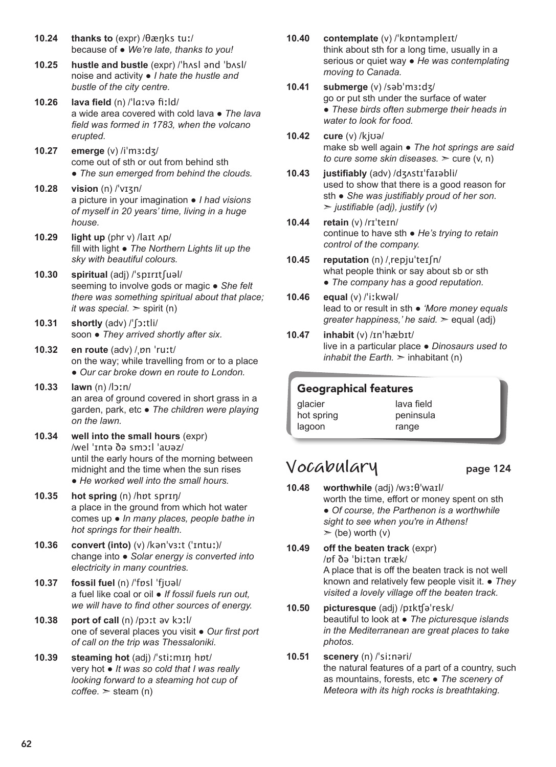- **10.24 thanks to** (expr) /θæŋks tuː/ because of ● *We're late, thanks to you!*
- **10.25 hustle and bustle** (expr) /ˈhʌsl ənd ˈbʌsl/ noise and activity ● *I hate the hustle and bustle of the city centre.*
- **10.26 lava field** (n) /ˈlɑːvə fiːld/ a wide area covered with cold lava ● *The lava field was formed in 1783, when the volcano erupted.*
- **10.27 emerge** (v) /iˈmɜːdʒ/ come out of sth or out from behind sth ● *The sun emerged from behind the clouds.*
- **10.28 vision** (n) /ˈvɪʒn/ a picture in your imagination ● *I had visions of myself in 20 years' time, living in a huge house.*
- **10.29 light up** (phr v) /laɪt ʌp/ fill with light ● *The Northern Lights lit up the sky with beautiful colours.*
- **10.30 spiritual** (adj) /ˈspɪrɪtʃuəl/ seeming to involve gods or magic ● *She felt there was something spiritual about that place; it was special.*  $\ge$  spirit (n)
- **10.31 shortly** (adv) /ˈʃɔːtli/ soon ● *They arrived shortly after six.*
- **10.32 en route** (adv) /ˌɒn ˈruːt/ on the way; while travelling from or to a place ● *Our car broke down en route to London.*
- **10.33 lawn** (n) /lɔːn/ an area of ground covered in short grass in a garden, park, etc ● *The children were playing on the lawn.*
- **10.34 well into the small hours** (expr) /wel ˈɪntə ðə smɔːl ˈaʊəz/ until the early hours of the morning between midnight and the time when the sun rises ● *He worked well into the small hours.*
- **10.35 hot spring** (n) /hɒt sprɪŋ/ a place in the ground from which hot water comes up ● *In many places, people bathe in hot springs for their health.*
- **10.36 convert (into)** (v) /kənˈvɜːt (ˈɪntuː)/ change into ● *Solar energy is converted into electricity in many countries.*
- **10.37 fossil fuel** (n) /ˈfɒsl ˈfjʊəl/ a fuel like coal or oil ● *If fossil fuels run out, we will have to find other sources of energy.*
- **10.38 port of call** (n) /pɔːt əv kɔːl/ one of several places you visit ● *Our first port of call on the trip was Thessaloniki.*
- **10.39 steaming hot** (adj) /ˈstiːmɪŋ hɒt/ very hot ● *It was so cold that I was really looking forward to a steaming hot cup of*   $\text{cofree.}$   $\geq$  steam (n)
- **10.40 contemplate** (v) /ˈkɒntəmpleɪt/ think about sth for a long time, usually in a serious or quiet way ● *He was contemplating moving to Canada.*
- **10.41 submerge** (v) /səbˈmɜːdʒ/ go or put sth under the surface of water ● *These birds often submerge their heads in water to look for food.*
- **10.42 cure** (v) /kjʊə/ make sb well again ● *The hot springs are said to cure some skin diseases.* ➣ cure (v, n)
- **10.43 justifiably** (adv) /dʒʌstɪˈfaɪəbli/ used to show that there is a good reason for sth ● *She was justifiably proud of her son.*  ➣ *justifiable (adj), justify (v)*
- **10.44 retain** (v) /rɪˈteɪn/ continue to have sth ● *He's trying to retain control of the company.*
- **10.45 reputation** (n) /ˌrepjuˈteɪʃn/ what people think or say about sb or sth ● *The company has a good reputation.*
- **10.46 equal** (v) /ˈiːkwəl/ lead to or result in sth ● *'More money equals greater happiness,' he said.* > equal (adj)
- **10.47 inhabit** (v) /ɪnˈhæbɪt/ live in a particular place ● *Dinosaurs used to inhabit the Earth.*  $\geq$  inhabitant (n)

#### Geographical features

glacier hot spring lagoon lava field peninsula range

## **Vocabulary** page 124

- **10.48 worthwhile** (adj) /wɜːθˈwaɪl/ worth the time, effort or money spent on sth ● *Of course, the Parthenon is a worthwhile sight to see when you're in Athens!*   $\ge$  (be) worth (v)
- **10.49 off the beaten track** (expr) /ɒf ðə ˈbiːtən træk/ A place that is off the beaten track is not well known and relatively few people visit it. ● *They visited a lovely village off the beaten track.*
- **10.50 picturesque** (adj) /pɪkʧəˈresk/ beautiful to look at ● *The picturesque islands in the Mediterranean are great places to take photos.*
- **10.51 scenery** (n) /ˈsiːnəri/ the natural features of a part of a country, such as mountains, forests, etc ● *The scenery of Meteora with its high rocks is breathtaking.*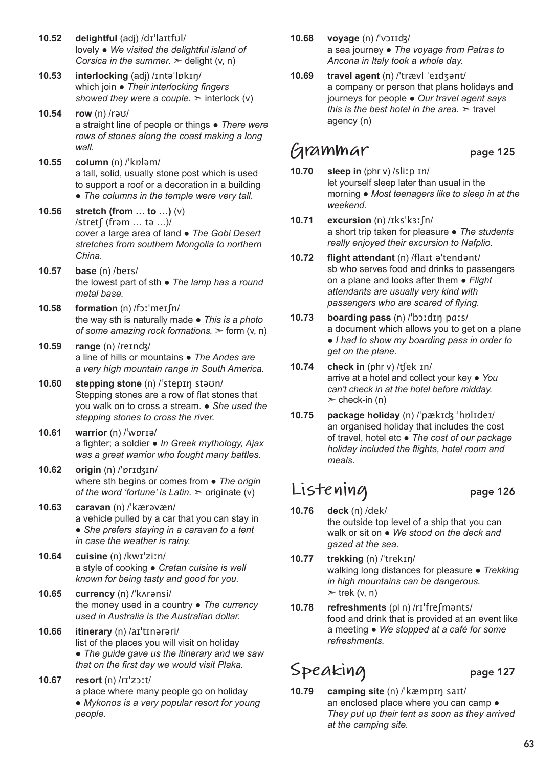- **10.52 delightful** (adj) /dɪˈlaɪtfʊl/ lovely ● *We visited the delightful island of Corsica in the summer.*  $\ge$  delight (v, n) **10.53 interlocking** (adj) /ɪntəˈlɒkɪŋ/
- which join *Their interlocking fingers showed they were a couple.*  $\geq$  interlock (v)
- **10.54 row** (n) /rəʊ/ a straight line of people or things ● *There were rows of stones along the coast making a long wall.*
- **10.55 column** (n) /ˈkɒləm/ a tall, solid, usually stone post which is used to support a roof or a decoration in a building ● *The columns in the temple were very tall.*
- **10.56 stretch (from … to …)** (v) /stretʃ (frəm … tə …)/ cover a large area of land ● *The Gobi Desert stretches from southern Mongolia to northern China.*
- **10.57 base** (n) /beɪs/ the lowest part of sth ● *The lamp has a round metal base.*
- **10.58 formation** (n) /fɔːˈmeɪʃn/ the way sth is naturally made ● *This is a photo of some amazing rock formations.* ➣ form (v, n)
- **10.59 range** (n) /reɪnʤ/ a line of hills or mountains ● *The Andes are a very high mountain range in South America.*
- **10.60 stepping stone** (n) /ˈstepɪŋ stəʊn/ Stepping stones are a row of flat stones that you walk on to cross a stream. ● *She used the stepping stones to cross the river.*
- **10.61 warrior** (n) /ˈwɒrɪə/ a fighter; a soldier ● *In Greek mythology, Ajax was a great warrior who fought many battles.*
- **10.62 origin** (n) /ˈɒrɪʤɪn/ where sth begins or comes from ● *The origin of the word 'fortune' is Latin.*  $>$  originate (v)
- **10.63 caravan** (n) /ˈkærəvæn/ a vehicle pulled by a car that you can stay in ● *She prefers staying in a caravan to a tent in case the weather is rainy.*
- **10.64 cuisine** (n) /kwɪˈziːn/ a style of cooking ● *Cretan cuisine is well known for being tasty and good for you.*
- **10.65 currency** (n) /ˈkʌrənsi/ the money used in a country ● *The currency used in Australia is the Australian dollar.*
- **10.66 itinerary** (n) /aɪˈtɪnərəri/ list of the places you will visit on holiday ● *The guide gave us the itinerary and we saw that on the first day we would visit Plaka.*
- **10.67 resort** (n) /rɪˈzɔːt/ a place where many people go on holiday ● *Mykonos is a very popular resort for young people.*
- **10.68 voyage** (n) /ˈvɔɪɪʤ/ a sea journey ● *The voyage from Patras to Ancona in Italy took a whole day.*
- **10.69 travel agent** (n) /ˈtrævl ˈeɪdʒənt/ a company or person that plans holidays and journeys for people ● *Our travel agent says this is the best hotel in the area.*  $\geq$  travel agency (n)

### **Grammar** page 125

- **10.70 sleep in** (phr v) /sliːp ɪn/ let yourself sleep later than usual in the morning ● *Most teenagers like to sleep in at the weekend.*
- **10.71 excursion** (n) /ɪksˈkɜːʃn/ a short trip taken for pleasure ● *The students really enjoyed their excursion to Nafplio.*
- **10.72 flight attendant** (n) /flaɪt əˈtendənt/ sb who serves food and drinks to passengers on a plane and looks after them ● *Flight attendants are usually very kind with passengers who are scared of flying.*
- **10.73 boarding pass** (n) /ˈbɔːdɪŋ pɑːs/ a document which allows you to get on a plane ● *I had to show my boarding pass in order to get on the plane.*
- **10.74 check in** (phr v) /ʧek ɪn/ arrive at a hotel and collect your key ● *You can't check in at the hotel before midday.*   $\ge$  check-in (n)
- **10.75 package holiday** (n) /ˈpækɪʤ ˈhɒlɪdeɪ/ an organised holiday that includes the cost of travel, hotel etc ● *The cost of our package holiday included the flights, hotel room and meals.*

# **Listening** page 126

- **10.76 deck** (n) /dek/ the outside top level of a ship that you can walk or sit on ● *We stood on the deck and gazed at the sea.*
- **10.77 trekking** (n) /ˈtrekɪŋ/ walking long distances for pleasure ● *Trekking in high mountains can be dangerous.*   $\ge$  trek (v, n)
- **10.78 refreshments** (pl n) /rɪˈfreʃmənts/ food and drink that is provided at an event like a meeting ● *We stopped at a café for some refreshments.*

# Speaking page 127

**10.79 camping site** (n) /ˈkæmpɪŋ saɪt/ an enclosed place where you can camp  $\bullet$ *They put up their tent as soon as they arrived at the camping site.*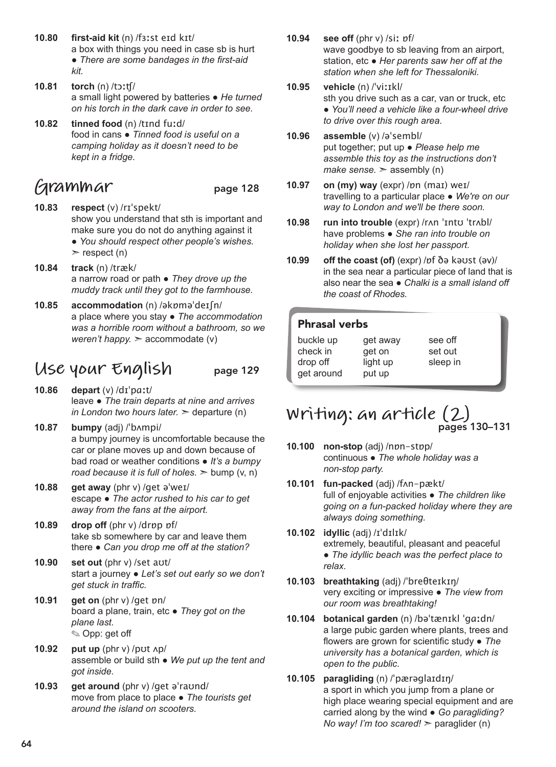- **10.80 first-aid kit** (n) /fɜːst eɪd kɪt/ a box with things you need in case sb is hurt ● *There are some bandages in the first-aid kit.*
- **10.81 torch** (n) /tɔːʧ/ a small light powered by batteries ● *He turned on his torch in the dark cave in order to see.*
- **10.82 tinned food** (n) /tɪnd fuːd/ food in cans ● *Tinned food is useful on a camping holiday as it doesn't need to be kept in a fridge.*

# **Grammar** page 128

- **10.83 respect** (v) /rɪˈspekt/ show you understand that sth is important and make sure you do not do anything against it ● *You should respect other people's wishes.*  $\ge$  respect (n)
- **10.84 track** (n) /træk/ a narrow road or path ● *They drove up the muddy track until they got to the farmhouse.*
- **10.85 accommodation** (n) /əkɒməˈdeɪʃn/ a place where you stay ● *The accommodation was a horrible room without a bathroom, so we weren't happy.* ➣ accommodate (v)

## **Use your English** page 129

- **10.86 depart** (v) /dɪˈpɑːt/ leave ● *The train departs at nine and arrives in London two hours later.*  $\geq$  departure (n)
- **10.87 bumpy** (adj) /ˈbʌmpi/ a bumpy journey is uncomfortable because the car or plane moves up and down because of bad road or weather conditions ● *It's a bumpy road because it is full of holes.*  $\geq$  bump (v, n)
- **10.88 get away** (phr v) /get əˈweɪ/ escape ● *The actor rushed to his car to get away from the fans at the airport.*
- **10.89 drop off** (phr v) /drɒp ɒf/ take sb somewhere by car and leave them there ● *Can you drop me off at the station?*
- **10.90 set out** (phr v) /set aʊt/ start a journey ● *Let's set out early so we don't get stuck in traffic.*
- **10.91 get on** (phr v) /get ɒn/ board a plane, train, etc ● *They got on the plane last.*  ✎ Opp: get off
- **10.92 put up** (phr v) /pʊt ʌp/ assemble or build sth ● *We put up the tent and got inside.*
- **10.93 get around** (phr v) /get əˈraʊnd/ move from place to place ● *The tourists get around the island on scooters.*
- **10.94 see off** (phr v) /siː ɒf/ wave goodbye to sb leaving from an airport, station, etc ● *Her parents saw her off at the station when she left for Thessaloniki.*
- **10.95 vehicle** (n) /ˈviːɪkl/ sth you drive such as a car, van or truck, etc ● *You'll need a vehicle like a four-wheel drive to drive over this rough area.*
- **10.96 assemble** (v) /əˈsembl/ put together; put up ● *Please help me assemble this toy as the instructions don't make sense.* ► assembly (n)
- **10.97 on (my) way** (expr) /ɒn (maɪ) weɪ/ travelling to a particular place ● *We're on our way to London and we'll be there soon.*
- **10.98 run into trouble** (expr) /rʌn ˈɪntʊ ˈtrʌbl/ have problems ● *She ran into trouble on holiday when she lost her passport.*
- **10.99 off the coast (of)** (expr) /ɒf ðə kəʊst (əv)/ in the sea near a particular piece of land that is also near the sea ● *Chalki is a small island off the coast of Rhodes.*

#### Phrasal verbs

| buckle up  | get away | see off  |
|------------|----------|----------|
| check in   | get on   | set out  |
| drop off   | light up | sleep in |
| get around | put up   |          |
|            |          |          |

#### **Writing: an article (2)** pages 130–131

- **10.100 non-stop** (adj) /nɒn-stɒp/ continuous ● *The whole holiday was a non-stop party.*
- **10.101 fun-packed** (adj) /fʌn-pækt/ full of enjoyable activities ● *The children like going on a fun-packed holiday where they are always doing something.*
- **10.102 idyllic** (adj) /ɪˈdɪlɪk/ extremely, beautiful, pleasant and peaceful ● *The idyllic beach was the perfect place to relax.*
- **10.103 breathtaking** (adj) /ˈbreθteɪkɪŋ/ very exciting or impressive ● *The view from our room was breathtaking!*
- **10.104 botanical garden** (n) /bəˈtænɪkl ˈɡɑːdn/ a large pubic garden where plants, trees and flowers are grown for scientific study ● *The university has a botanical garden, which is open to the public.*
- **10.105 paragliding** (n) /ˈpærəɡlaɪdɪŋ/ a sport in which you jump from a plane or high place wearing special equipment and are carried along by the wind ● *Go paragliding? No way! I'm too scared!* > paraglider (n)